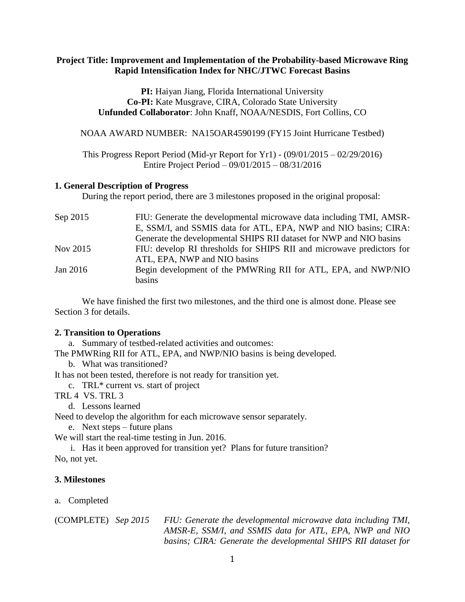## **Project Title: Improvement and Implementation of the Probability-based Microwave Ring Rapid Intensification Index for NHC/JTWC Forecast Basins**

**PI:** Haiyan Jiang, Florida International University **Co-PI:** Kate Musgrave, CIRA, Colorado State University **Unfunded Collaborator**: John Knaff, NOAA/NESDIS, Fort Collins, CO

NOAA AWARD NUMBER: NA15OAR4590199 (FY15 Joint Hurricane Testbed)

This Progress Report Period (Mid-yr Report for Yr1) - (09/01/2015 – 02/29/2016) Entire Project Period – 09/01/2015 – 08/31/2016

### **1. General Description of Progress**

During the report period, there are 3 milestones proposed in the original proposal:

| Sep 2015 | FIU: Generate the developmental microwave data including TMI, AMSR-   |
|----------|-----------------------------------------------------------------------|
|          | E, SSM/I, and SSMIS data for ATL, EPA, NWP and NIO basins; CIRA:      |
|          | Generate the developmental SHIPS RII dataset for NWP and NIO basins   |
| Nov 2015 | FIU: develop RI thresholds for SHIPS RII and microwave predictors for |
|          | ATL, EPA, NWP and NIO basins                                          |
| Jan 2016 | Begin development of the PMWRing RII for ATL, EPA, and NWP/NIO        |
|          | basins                                                                |

We have finished the first two milestones, and the third one is almost done. Please see Section 3 for details.

#### **2. Transition to Operations**

a. Summary of testbed-related activities and outcomes:

The PMWRing RII for ATL, EPA, and NWP/NIO basins is being developed.

b. What was transitioned?

It has not been tested, therefore is not ready for transition yet.

c. TRL\* current vs. start of project

TRL 4 VS. TRL 3

d. Lessons learned

Need to develop the algorithm for each microwave sensor separately.

e. Next steps – future plans

We will start the real-time testing in Jun. 2016.

i. Has it been approved for transition yet? Plans for future transition? No, not yet.

#### **3. Milestones**

a. Completed

(COMPLETE) *Sep 2015 FIU: Generate the developmental microwave data including TMI, AMSR-E, SSM/I, and SSMIS data for ATL, EPA, NWP and NIO basins; CIRA: Generate the developmental SHIPS RII dataset for*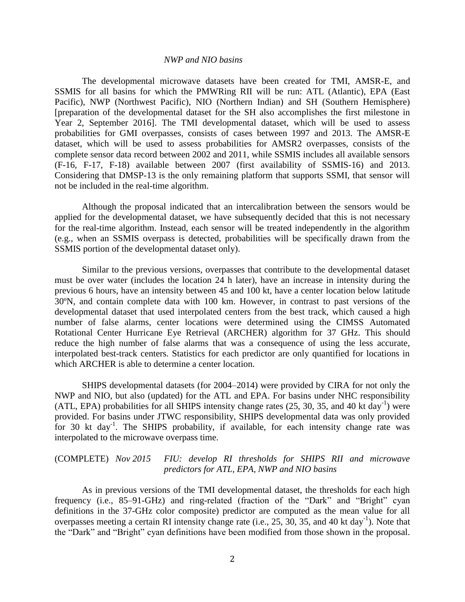#### *NWP and NIO basins*

The developmental microwave datasets have been created for TMI, AMSR-E, and SSMIS for all basins for which the PMWRing RII will be run: ATL (Atlantic), EPA (East Pacific), NWP (Northwest Pacific), NIO (Northern Indian) and SH (Southern Hemisphere) [preparation of the developmental dataset for the SH also accomplishes the first milestone in Year 2, September 2016]. The TMI developmental dataset, which will be used to assess probabilities for GMI overpasses, consists of cases between 1997 and 2013. The AMSR-E dataset, which will be used to assess probabilities for AMSR2 overpasses, consists of the complete sensor data record between 2002 and 2011, while SSMIS includes all available sensors (F-16, F-17, F-18) available between 2007 (first availability of SSMIS-16) and 2013. Considering that DMSP-13 is the only remaining platform that supports SSMI, that sensor will not be included in the real-time algorithm.

Although the proposal indicated that an intercalibration between the sensors would be applied for the developmental dataset, we have subsequently decided that this is not necessary for the real-time algorithm. Instead, each sensor will be treated independently in the algorithm (e.g., when an SSMIS overpass is detected, probabilities will be specifically drawn from the SSMIS portion of the developmental dataset only).

Similar to the previous versions, overpasses that contribute to the developmental dataset must be over water (includes the location 24 h later), have an increase in intensity during the previous 6 hours, have an intensity between 45 and 100 kt, have a center location below latitude 30ºN, and contain complete data with 100 km. However, in contrast to past versions of the developmental dataset that used interpolated centers from the best track, which caused a high number of false alarms, center locations were determined using the CIMSS Automated Rotational Center Hurricane Eye Retrieval (ARCHER) algorithm for 37 GHz. This should reduce the high number of false alarms that was a consequence of using the less accurate, interpolated best-track centers. Statistics for each predictor are only quantified for locations in which ARCHER is able to determine a center location.

SHIPS developmental datasets (for 2004–2014) were provided by CIRA for not only the NWP and NIO, but also (updated) for the ATL and EPA. For basins under NHC responsibility (ATL, EPA) probabilities for all SHIPS intensity change rates (25, 30, 35, and 40 kt day<sup>-1</sup>) were provided. For basins under JTWC responsibility, SHIPS developmental data was only provided for 30 kt day<sup>-1</sup>. The SHIPS probability, if available, for each intensity change rate was interpolated to the microwave overpass time.

## (COMPLETE) *Nov 2015 FIU: develop RI thresholds for SHIPS RII and microwave predictors for ATL, EPA, NWP and NIO basins*

As in previous versions of the TMI developmental dataset, the thresholds for each high frequency (i.e., 85–91-GHz) and ring-related (fraction of the "Dark" and "Bright" cyan definitions in the 37-GHz color composite) predictor are computed as the mean value for all overpasses meeting a certain RI intensity change rate (i.e., 25, 30, 35, and 40 kt day<sup>-1</sup>). Note that the "Dark" and "Bright" cyan definitions have been modified from those shown in the proposal.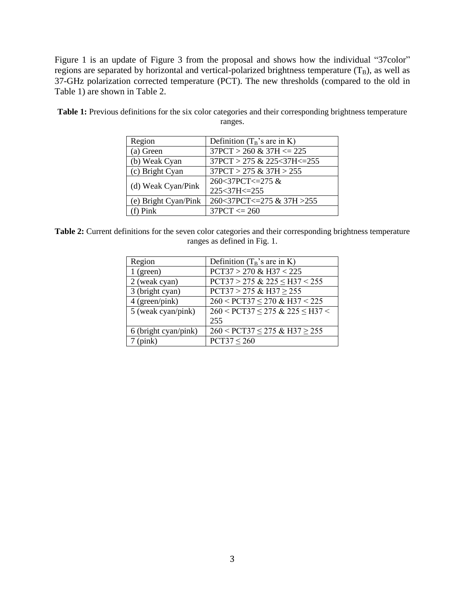Figure 1 is an update of Figure 3 from the proposal and shows how the individual "37color" regions are separated by horizontal and vertical-polarized brightness temperature  $(T_B)$ , as well as 37-GHz polarization corrected temperature (PCT). The new thresholds (compared to the old in Table 1) are shown in Table 2.

| Region               | Definition $(T_B$ 's are in K) |
|----------------------|--------------------------------|
| (a) Green            | $37PCT > 260 \& 37H \le 225$   |
| (b) Weak Cyan        | 37PCT > 275 & 225<37H<=255     |
| (c) Bright Cyan      | $37PCT > 275 \& 37H > 255$     |
|                      | 260<37PCT<=275 &               |
| (d) Weak Cyan/Pink   | 225<37H<=255                   |
| (e) Bright Cyan/Pink | 260<37PCT<=275 & 37H > 255     |
| $(f)$ Pink           | $37PCT \le 260$                |

Table 1: Previous definitions for the six color categories and their corresponding brightness temperature ranges.

**Table 2:** Current definitions for the seven color categories and their corresponding brightness temperature ranges as defined in Fig. 1.

| Region               | Definition $(T_B$ 's are in K)                |
|----------------------|-----------------------------------------------|
| $1$ (green)          | $PCT37 > 270 \& H37 < 225$                    |
| 2 (weak cyan)        | $PCT37 > 275 \& 225 \leq H37 \leq 255$        |
| 3 (bright cyan)      | $PCT37 > 275 \& H37 \ge 255$                  |
| 4 (green/pink)       | $260 < PCT37 \le 270$ & H37 < 225             |
| 5 (weak cyan/pink)   | $260 <$ PCT37 $\leq$ 275 & 225 $\leq$ H37 $<$ |
|                      | 255                                           |
| 6 (bright cyan/pink) | $260 < PCT37 \le 275$ & H37 $\ge 255$         |
| (pink)               | $PCT37 \leq 260$                              |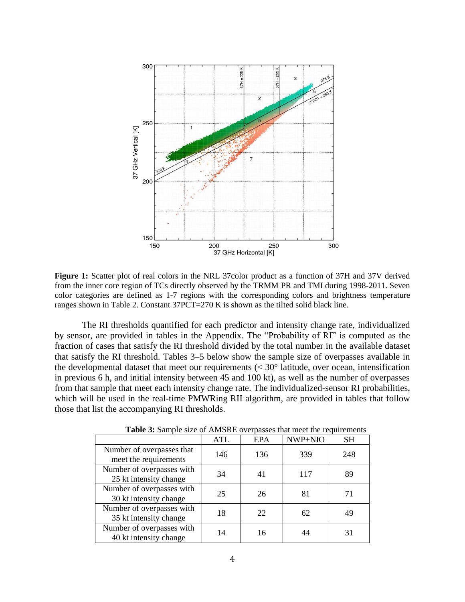

**Figure 1:** Scatter plot of real colors in the NRL 37color product as a function of 37H and 37V derived from the inner core region of TCs directly observed by the TRMM PR and TMI during 1998-2011. Seven color categories are defined as 1-7 regions with the corresponding colors and brightness temperature ranges shown in Table 2. Constant 37PCT=270 K is shown as the tilted solid black line.

The RI thresholds quantified for each predictor and intensity change rate, individualized by sensor, are provided in tables in the Appendix. The "Probability of RI" is computed as the fraction of cases that satisfy the RI threshold divided by the total number in the available dataset that satisfy the RI threshold. Tables 3–5 below show the sample size of overpasses available in the developmental dataset that meet our requirements  $(< 30°$  latitude, over ocean, intensification in previous 6 h, and initial intensity between 45 and 100 kt), as well as the number of overpasses from that sample that meet each intensity change rate. The individualized-sensor RI probabilities, which will be used in the real-time PMWRing RII algorithm, are provided in tables that follow those that list the accompanying RI thresholds.

|                                                     | <b>ATL</b> | <b>EPA</b> | NWP+NIO | <b>SH</b> |
|-----------------------------------------------------|------------|------------|---------|-----------|
| Number of overpasses that<br>meet the requirements  | 146        | 136        | 339     | 248       |
| Number of overpasses with<br>25 kt intensity change | 34         | 41         | 117     | 89        |
| Number of overpasses with<br>30 kt intensity change | 25         | 26         | 81      | 71        |
| Number of overpasses with<br>35 kt intensity change | 18         | 22         | 62      | 49        |
| Number of overpasses with<br>40 kt intensity change | 14         | 16         | 44      | 31        |

**Table 3:** Sample size of AMSRE overpasses that meet the requirements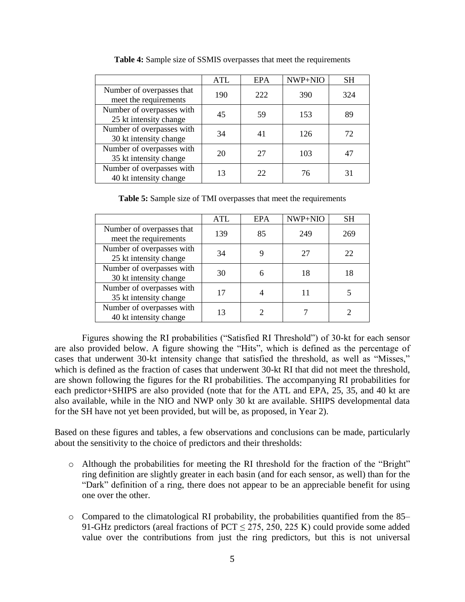|                                                     | ATL | EPA | NWP+NIO | <b>SH</b> |
|-----------------------------------------------------|-----|-----|---------|-----------|
| Number of overpasses that<br>meet the requirements  | 190 | 222 | 390     | 324       |
| Number of overpasses with<br>25 kt intensity change | 45  | 59  | 153     | 89        |
| Number of overpasses with<br>30 kt intensity change | 34  |     | 126     | 72.       |
| Number of overpasses with<br>35 kt intensity change | 20  | 27  | 103     |           |
| Number of overpasses with<br>40 kt intensity change | 13  | 22  | 76      | 31        |

**Table 4:** Sample size of SSMIS overpasses that meet the requirements

**Table 5:** Sample size of TMI overpasses that meet the requirements

|                                                     | ATL | <b>EPA</b> | NWP+NIO | <b>SH</b> |
|-----------------------------------------------------|-----|------------|---------|-----------|
| Number of overpasses that<br>meet the requirements  | 139 | 85         | 249     | 269       |
| Number of overpasses with<br>25 kt intensity change | 34  |            | 27      | 22        |
| Number of overpasses with<br>30 kt intensity change | 30  |            | 18      |           |
| Number of overpasses with<br>35 kt intensity change | 17  |            |         |           |
| Number of overpasses with<br>40 kt intensity change | 13  |            |         |           |

Figures showing the RI probabilities ("Satisfied RI Threshold") of 30-kt for each sensor are also provided below. A figure showing the "Hits", which is defined as the percentage of cases that underwent 30-kt intensity change that satisfied the threshold, as well as "Misses," which is defined as the fraction of cases that underwent 30-kt RI that did not meet the threshold, are shown following the figures for the RI probabilities. The accompanying RI probabilities for each predictor+SHIPS are also provided (note that for the ATL and EPA, 25, 35, and 40 kt are also available, while in the NIO and NWP only 30 kt are available. SHIPS developmental data for the SH have not yet been provided, but will be, as proposed, in Year 2).

Based on these figures and tables, a few observations and conclusions can be made, particularly about the sensitivity to the choice of predictors and their thresholds:

- o Although the probabilities for meeting the RI threshold for the fraction of the "Bright" ring definition are slightly greater in each basin (and for each sensor, as well) than for the "Dark" definition of a ring, there does not appear to be an appreciable benefit for using one over the other.
- o Compared to the climatological RI probability, the probabilities quantified from the 85– 91-GHz predictors (areal fractions of PCT  $\leq$  275, 250, 225 K) could provide some added value over the contributions from just the ring predictors, but this is not universal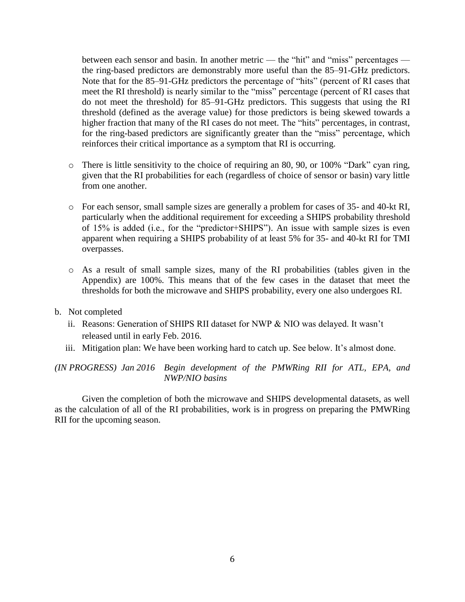between each sensor and basin. In another metric — the "hit" and "miss" percentages the ring-based predictors are demonstrably more useful than the 85–91-GHz predictors. Note that for the 85–91-GHz predictors the percentage of "hits" (percent of RI cases that meet the RI threshold) is nearly similar to the "miss" percentage (percent of RI cases that do not meet the threshold) for 85–91-GHz predictors. This suggests that using the RI threshold (defined as the average value) for those predictors is being skewed towards a higher fraction that many of the RI cases do not meet. The "hits" percentages, in contrast, for the ring-based predictors are significantly greater than the "miss" percentage, which reinforces their critical importance as a symptom that RI is occurring.

- o There is little sensitivity to the choice of requiring an 80, 90, or 100% "Dark" cyan ring, given that the RI probabilities for each (regardless of choice of sensor or basin) vary little from one another.
- o For each sensor, small sample sizes are generally a problem for cases of 35- and 40-kt RI, particularly when the additional requirement for exceeding a SHIPS probability threshold of 15% is added (i.e., for the "predictor+SHIPS"). An issue with sample sizes is even apparent when requiring a SHIPS probability of at least 5% for 35- and 40-kt RI for TMI overpasses.
- o As a result of small sample sizes, many of the RI probabilities (tables given in the Appendix) are 100%. This means that of the few cases in the dataset that meet the thresholds for both the microwave and SHIPS probability, every one also undergoes RI.
- b. Not completed
	- ii. Reasons: Generation of SHIPS RII dataset for NWP & NIO was delayed. It wasn't released until in early Feb. 2016.
	- iii. Mitigation plan: We have been working hard to catch up. See below. It's almost done.

*(IN PROGRESS) Jan 2016 Begin development of the PMWRing RII for ATL, EPA, and NWP/NIO basins*

Given the completion of both the microwave and SHIPS developmental datasets, as well as the calculation of all of the RI probabilities, work is in progress on preparing the PMWRing RII for the upcoming season.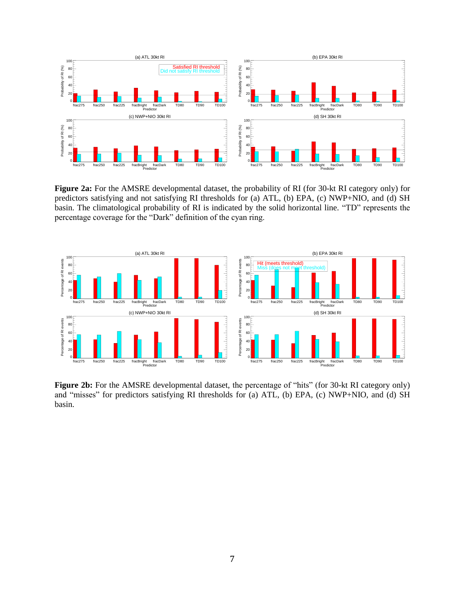

**Figure 2a:** For the AMSRE developmental dataset, the probability of RI (for 30-kt RI category only) for predictors satisfying and not satisfying RI thresholds for (a) ATL, (b) EPA, (c) NWP+NIO, and (d) SH basin. The climatological probability of RI is indicated by the solid horizontal line. "TD" represents the percentage coverage for the "Dark" definition of the cyan ring.



Figure 2b: For the AMSRE developmental dataset, the percentage of "hits" (for 30-kt RI category only) and "misses" for predictors satisfying RI thresholds for (a) ATL, (b) EPA, (c) NWP+NIO, and (d) SH basin.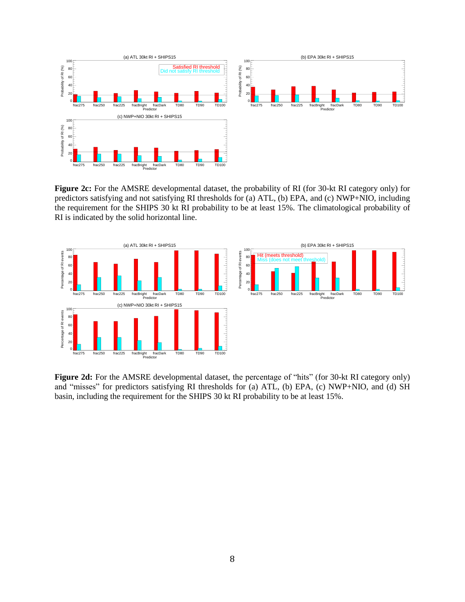

**Figure 2c:** For the AMSRE developmental dataset, the probability of RI (for 30-kt RI category only) for predictors satisfying and not satisfying RI thresholds for (a) ATL, (b) EPA, and (c) NWP+NIO, including the requirement for the SHIPS 30 kt RI probability to be at least 15%. The climatological probability of RI is indicated by the solid horizontal line.



**Figure 2d:** For the AMSRE developmental dataset, the percentage of "hits" (for 30-kt RI category only) and "misses" for predictors satisfying RI thresholds for (a) ATL, (b) EPA, (c) NWP+NIO, and (d) SH basin, including the requirement for the SHIPS 30 kt RI probability to be at least 15%.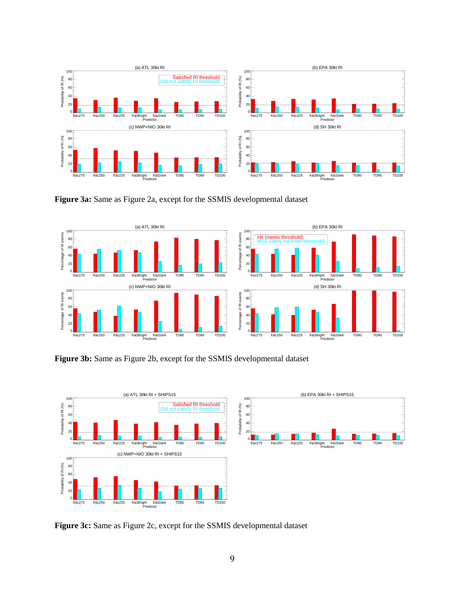

**Figure 3a:** Same as Figure 2a, except for the SSMIS developmental dataset



**Figure 3b:** Same as Figure 2b, except for the SSMIS developmental dataset



**Figure 3c:** Same as Figure 2c, except for the SSMIS developmental dataset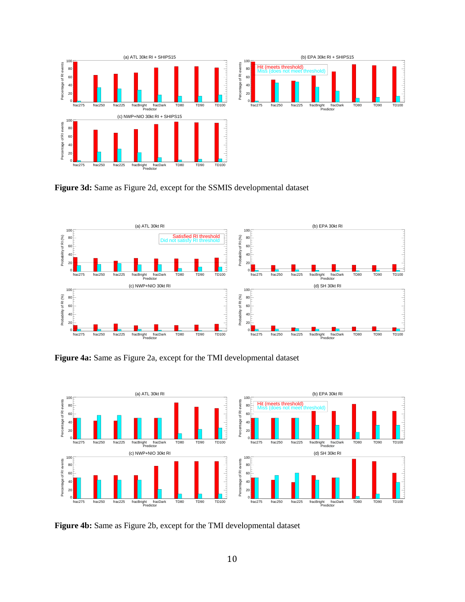

**Figure 3d:** Same as Figure 2d, except for the SSMIS developmental dataset



**Figure 4a:** Same as Figure 2a, except for the TMI developmental dataset



**Figure 4b:** Same as Figure 2b, except for the TMI developmental dataset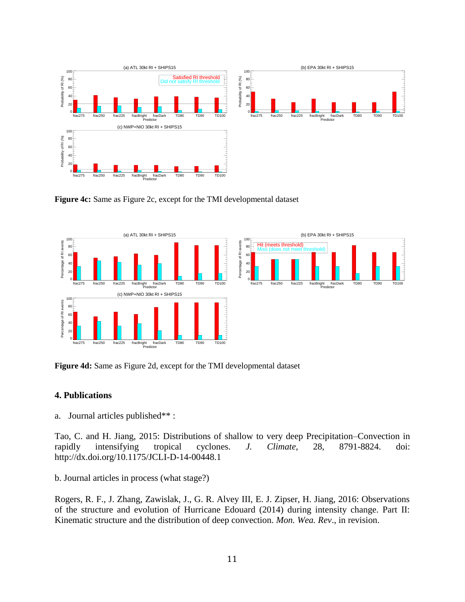

**Figure 4c:** Same as Figure 2c, except for the TMI developmental dataset



**Figure 4d:** Same as Figure 2d, except for the TMI developmental dataset

## **4. Publications**

a. Journal articles published\*\* :

Tao, C. and H. Jiang, 2015: Distributions of shallow to very deep Precipitation–Convection in rapidly intensifying tropical cyclones. *J. Climate*, 28, 8791-8824. doi: http://dx.doi.org/10.1175/JCLI-D-14-00448.1

b. Journal articles in process (what stage?)

Rogers, R. F., J. Zhang, Zawislak, J., G. R. Alvey III, E. J. Zipser, H. Jiang, 2016: Observations of the structure and evolution of Hurricane Edouard (2014) during intensity change. Part II: Kinematic structure and the distribution of deep convection. *Mon. Wea. Rev*., in revision.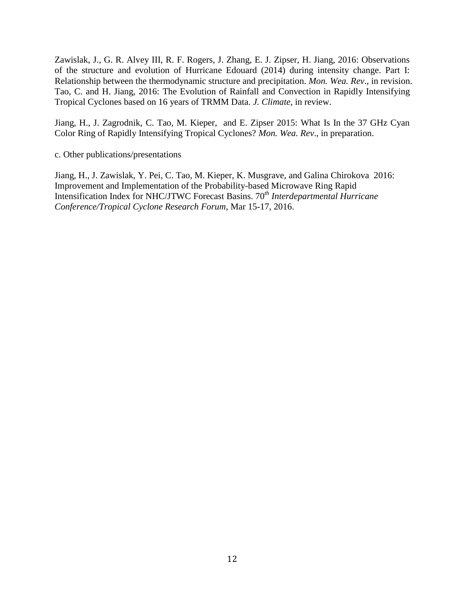Zawislak, J., G. R. Alvey III, R. F. Rogers, J. Zhang, E. J. Zipser, H. Jiang, 2016: Observations of the structure and evolution of Hurricane Edouard (2014) during intensity change. Part I: Relationship between the thermodynamic structure and precipitation. *Mon. Wea. Rev*., in revision. Tao, C. and H. Jiang, 2016: The Evolution of Rainfall and Convection in Rapidly Intensifying Tropical Cyclones based on 16 years of TRMM Data. *J. Climate*, in review.

Jiang, H., J. Zagrodnik, C. Tao, M. Kieper, and E. Zipser 2015: What Is In the 37 GHz Cyan Color Ring of Rapidly Intensifying Tropical Cyclones? *Mon. Wea. Rev*., in preparation.

c. Other publications/presentations

Jiang, H., J. Zawislak, Y. Pei, C. Tao, M. Kieper, K. Musgrave, and Galina Chirokova 2016: Improvement and Implementation of the Probability-based Microwave Ring Rapid Intensification Index for NHC/JTWC Forecast Basins. 70*th Interdepartmental Hurricane Conference/Tropical Cyclone Research Forum*, Mar 15-17, 2016.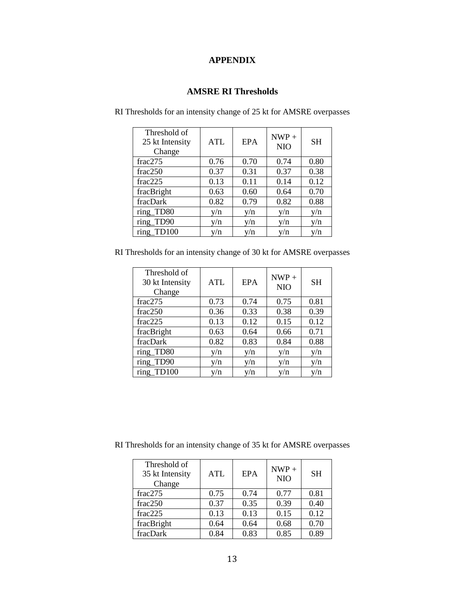# **APPENDIX**

## **AMSRE RI Thresholds**

| Threshold of<br>25 kt Intensity<br>Change | <b>ATL</b> | <b>EPA</b> | $NWP +$<br><b>NIO</b> | <b>SH</b> |
|-------------------------------------------|------------|------------|-----------------------|-----------|
| frac275                                   | 0.76       | 0.70       | 0.74                  | 0.80      |
| frac250                                   | 0.37       | 0.31       | 0.37                  | 0.38      |
| frac225                                   | 0.13       | 0.11       | 0.14                  | 0.12      |
| fracBright                                | 0.63       | 0.60       | 0.64                  | 0.70      |
| fracDark                                  | 0.82       | 0.79       | 0.82                  | 0.88      |
| ring_TD80                                 | y/n        | y/n        | y/n                   | y/n       |
| ring_TD90                                 | y/n        | y/n        | y/n                   | y/n       |
| ring TD100                                | v/n        | v/n        | v/n                   | y/n       |

RI Thresholds for an intensity change of 25 kt for AMSRE overpasses

RI Thresholds for an intensity change of 30 kt for AMSRE overpasses

| Threshold of<br>30 kt Intensity<br>Change | <b>ATL</b> | EPA  | $NWP +$<br><b>NIO</b> | <b>SH</b> |
|-------------------------------------------|------------|------|-----------------------|-----------|
| frac275                                   | 0.73       | 0.74 | 0.75                  | 0.81      |
| frac250                                   | 0.36       | 0.33 | 0.38                  | 0.39      |
| frac225                                   | 0.13       | 0.12 | 0.15                  | 0.12      |
| fracBright                                | 0.63       | 0.64 | 0.66                  | 0.71      |
| fracDark                                  | 0.82       | 0.83 | 0.84                  | 0.88      |
| ring_TD80                                 | y/n        | y/n  | y/n                   | y/n       |
| ring_TD90                                 | y/n        | y/n  | y/n                   | y/n       |
| ring TD100                                | v/n        | v/n  | v/n                   | v/n       |

RI Thresholds for an intensity change of 35 kt for AMSRE overpasses

| Threshold of<br>35 kt Intensity<br>Change | <b>ATL</b> | <b>EPA</b> | $NWP +$<br><b>NIO</b> | <b>SH</b> |
|-------------------------------------------|------------|------------|-----------------------|-----------|
| frac275                                   | 0.75       | 0.74       | 0.77                  | 0.81      |
| frac250                                   | 0.37       | 0.35       | 0.39                  | 0.40      |
| frac225                                   | 0.13       | 0.13       | 0.15                  | 0.12      |
| fracBright                                | 0.64       | 0.64       | 0.68                  | 0.70      |
| fracDark                                  | 0.84       | 0.83       | 0.85                  | 0.89      |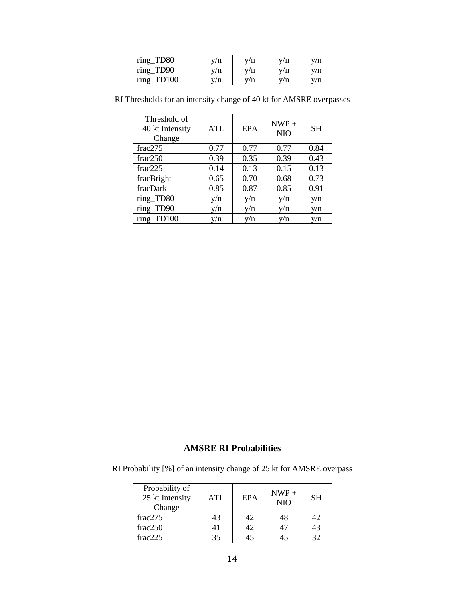| ring<br><b>TD80</b>  | y/n | v/n | 'n |   |
|----------------------|-----|-----|----|---|
| ring<br>TD90         | v/n | v/n | 'n | n |
| ring<br><b>TD100</b> | v/n | n   | 'n |   |

| Threshold of<br>40 kt Intensity<br>Change | <b>ATL</b> | <b>EPA</b> | $NWP +$<br><b>NIO</b> | <b>SH</b> |
|-------------------------------------------|------------|------------|-----------------------|-----------|
| frac275                                   | 0.77       | 0.77       | 0.77                  | 0.84      |
| frac250                                   | 0.39       | 0.35       | 0.39                  | 0.43      |
| frac225                                   | 0.14       | 0.13       | 0.15                  | 0.13      |
| fracBright                                | 0.65       | 0.70       | 0.68                  | 0.73      |
| fracDark                                  | 0.85       | 0.87       | 0.85                  | 0.91      |
| ring_TD80                                 | y/n        | v/n        | y/n                   | y/n       |
| ring_TD90                                 | y/n        | y/n        | y/n                   | y/n       |
| ring TD100                                | y/n        | v/n        | v/n                   | v/n       |

RI Thresholds for an intensity change of 40 kt for AMSRE overpasses

# **AMSRE RI Probabilities**

RI Probability [%] of an intensity change of 25 kt for AMSRE overpass

| Probability of<br>25 kt Intensity<br>Change | <b>ATL</b> | <b>EPA</b> | $NWP +$<br><b>NIO</b> | <b>SH</b> |
|---------------------------------------------|------------|------------|-----------------------|-----------|
| frac275                                     | 43         | 42         | 48                    | 42        |
| frac250                                     |            | 42         |                       | 43        |
| frac225                                     | 35         | 45         |                       | 32        |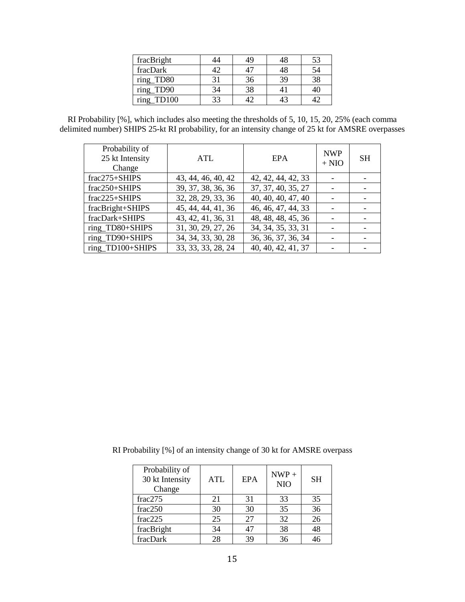| fracBright           |    | 49 |    | 53 |
|----------------------|----|----|----|----|
| fracDark             | 17 |    |    |    |
| ring_TD80            |    | 36 | 39 |    |
| ring_TD90            |    | 38 |    |    |
| <b>TD100</b><br>ring | २२ |    |    |    |

RI Probability [%], which includes also meeting the thresholds of 5, 10, 15, 20, 25% (each comma delimited number) SHIPS 25-kt RI probability, for an intensity change of 25 kt for AMSRE overpasses

| Probability of<br>25 kt Intensity<br>Change | <b>ATL</b>         | EPA                | <b>NWP</b><br>$+ NIO$ | <b>SH</b> |
|---------------------------------------------|--------------------|--------------------|-----------------------|-----------|
| $frac275+SHIPS$                             | 43, 44, 46, 40, 42 | 42, 42, 44, 42, 33 |                       |           |
| $frac250+SHIPS$                             | 39, 37, 38, 36, 36 | 37, 37, 40, 35, 27 |                       |           |
| $frac225+SHIPS$                             | 32, 28, 29, 33, 36 | 40, 40, 40, 47, 40 |                       |           |
| fracBright+SHIPS                            | 45, 44, 44, 41, 36 | 46, 46, 47, 44, 33 |                       |           |
| fracDark+SHIPS                              | 43, 42, 41, 36, 31 | 48, 48, 48, 45, 36 |                       |           |
| ring_TD80+SHIPS                             | 31, 30, 29, 27, 26 | 34, 34, 35, 33, 31 |                       |           |
| ring_TD90+SHIPS                             | 34, 34, 33, 30, 28 | 36, 36, 37, 36, 34 |                       |           |
| ring_TD100+SHIPS                            | 33, 33, 33, 28, 24 | 40, 40, 42, 41, 37 |                       |           |

RI Probability [%] of an intensity change of 30 kt for AMSRE overpass

| Probability of<br>30 kt Intensity<br>Change | <b>ATL</b> | EPA | $NWP +$<br><b>NIO</b> | <b>SH</b> |
|---------------------------------------------|------------|-----|-----------------------|-----------|
| frac275                                     | 21         | 31  | 33                    | 35        |
| frac250                                     | 30         | 30  | 35                    | 36        |
| frac225                                     | 25         | 27  | 32                    | 26        |
| fracBright                                  | 34         | 47  | 38                    | 48        |
| fracDark                                    | 28         | 39  | 36                    | 46        |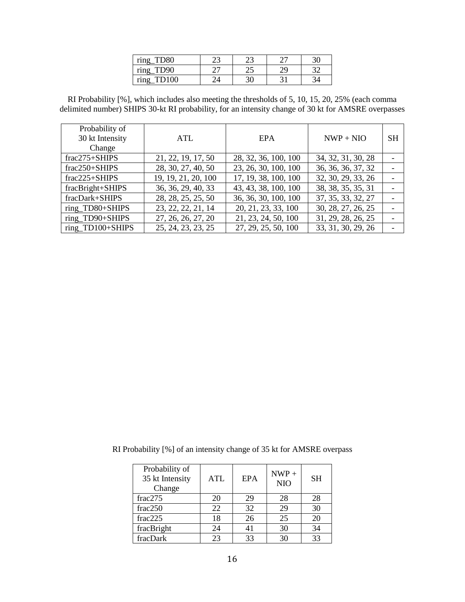| $\bullet$<br>ring | ر_ | ر ک | -  |   |
|-------------------|----|-----|----|---|
| D۹O<br>ring       |    | ل⊾  | າເ | ົ |
| ring              |    |     |    |   |

RI Probability [%], which includes also meeting the thresholds of 5, 10, 15, 20, 25% (each comma delimited number) SHIPS 30-kt RI probability, for an intensity change of 30 kt for AMSRE overpasses

| Probability of<br>30 kt Intensity<br>Change | <b>ATL</b>          | <b>EPA</b>           | $NWP + NIO$        | <b>SH</b> |
|---------------------------------------------|---------------------|----------------------|--------------------|-----------|
| $frac275+SHIPS$                             | 21, 22, 19, 17, 50  | 28, 32, 36, 100, 100 | 34, 32, 31, 30, 28 |           |
| $frac250+SHIPS$                             | 28, 30, 27, 40, 50  | 23, 26, 30, 100, 100 | 36, 36, 36, 37, 32 |           |
| $frac225+SHIPS$                             | 19, 19, 21, 20, 100 | 17, 19, 38, 100, 100 | 32, 30, 29, 33, 26 |           |
| fracBright+SHIPS                            | 36, 36, 29, 40, 33  | 43, 43, 38, 100, 100 | 38, 38, 35, 35, 31 |           |
| fracDark+SHIPS                              | 28, 28, 25, 25, 50  | 36, 36, 30, 100, 100 | 37, 35, 33, 32, 27 |           |
| ring_TD80+SHIPS                             | 23, 22, 22, 21, 14  | 20, 21, 23, 33, 100  | 30, 28, 27, 26, 25 |           |
| ring_TD90+SHIPS                             | 27, 26, 26, 27, 20  | 21, 23, 24, 50, 100  | 31, 29, 28, 26, 25 |           |
| ring_TD100+SHIPS                            | 25, 24, 23, 23, 25  | 27, 29, 25, 50, 100  | 33, 31, 30, 29, 26 |           |

|  | RI Probability [%] of an intensity change of 35 kt for AMSRE overpass |  |  |
|--|-----------------------------------------------------------------------|--|--|
|--|-----------------------------------------------------------------------|--|--|

| Probability of<br>35 kt Intensity<br>Change | ATL | EPA | $NWP +$<br><b>NIO</b> | <b>SH</b> |
|---------------------------------------------|-----|-----|-----------------------|-----------|
| frac275                                     | 20  | 29  | 28                    | 28        |
| frac250                                     | 22  | 32  | 29                    | 30        |
| frac225                                     | 18  | 26  | 25                    | 20        |
| fracBright                                  | 24  | 41  | 30                    | 34        |
| fracDark                                    | 23  | 33  | 30                    | 33        |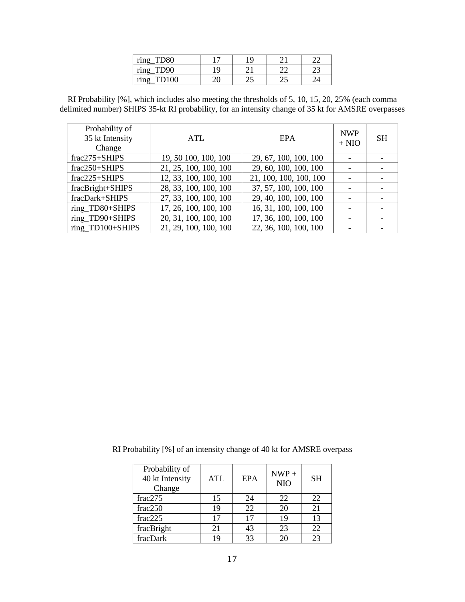| ring         |     | <b>Q</b> | ⌒            | $\sim$ |
|--------------|-----|----------|--------------|--------|
| TD90<br>ring | Q   |          |              | ∼      |
| $min \sigma$ | JV. | رے       | $\cap$<br>ىك |        |

RI Probability [%], which includes also meeting the thresholds of 5, 10, 15, 20, 25% (each comma delimited number) SHIPS 35-kt RI probability, for an intensity change of 35 kt for AMSRE overpasses

| Probability of<br>35 kt Intensity<br>Change | ATL                   | EPA                    | <b>NWP</b><br>$+ NIO$ | <b>SH</b> |
|---------------------------------------------|-----------------------|------------------------|-----------------------|-----------|
| $frac275+SHIPS$                             | 19, 50 100, 100, 100  | 29, 67, 100, 100, 100  |                       |           |
| frac250+SHIPS                               | 21, 25, 100, 100, 100 | 29, 60, 100, 100, 100  |                       |           |
| $frac225+SHIPS$                             | 12, 33, 100, 100, 100 | 21, 100, 100, 100, 100 |                       |           |
| fracBright+SHIPS                            | 28, 33, 100, 100, 100 | 37, 57, 100, 100, 100  |                       |           |
| fracDark+SHIPS                              | 27, 33, 100, 100, 100 | 29, 40, 100, 100, 100  |                       |           |
| ring_TD80+SHIPS                             | 17, 26, 100, 100, 100 | 16, 31, 100, 100, 100  |                       |           |
| ring TD90+SHIPS                             | 20, 31, 100, 100, 100 | 17, 36, 100, 100, 100  |                       |           |
| ring_TD100+SHIPS                            | 21, 29, 100, 100, 100 | 22, 36, 100, 100, 100  |                       |           |

|  |  |  | RI Probability [%] of an intensity change of 40 kt for AMSRE overpass |
|--|--|--|-----------------------------------------------------------------------|
|--|--|--|-----------------------------------------------------------------------|

| Probability of<br>40 kt Intensity<br>Change | <b>ATL</b> | EPA | $NWP +$<br><b>NIO</b> | <b>SH</b> |
|---------------------------------------------|------------|-----|-----------------------|-----------|
| frac275                                     | 15         | 24  | 22                    | 22        |
| frac250                                     | 19         | 22  | 20                    | 21        |
| frac2225                                    | 17         | 17  | 19                    | 13        |
| fracBright                                  | 21         | 43  | 23                    | 22        |
| fracDark                                    | 19         | 33  | 20                    | 23        |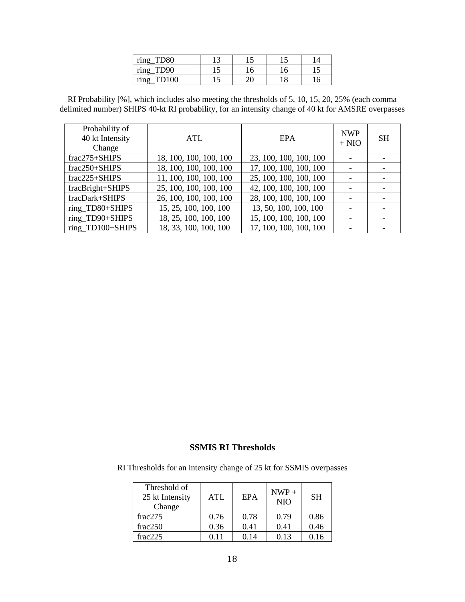| <b>TD80</b><br>ring                   | ້ | ⊥J |  |
|---------------------------------------|---|----|--|
| TD <sub>90</sub><br>$\bullet$<br>rino | ∟ | ΙU |  |
| <b>TD100</b>                          | ັ | ≃∪ |  |

RI Probability [%], which includes also meeting the thresholds of 5, 10, 15, 20, 25% (each comma delimited number) SHIPS 40-kt RI probability, for an intensity change of 40 kt for AMSRE overpasses

| Probability of<br>40 kt Intensity<br>Change | ATL                    | <b>EPA</b>             | <b>NWP</b><br>$+$ NIO | <b>SH</b> |
|---------------------------------------------|------------------------|------------------------|-----------------------|-----------|
| $frac275+SHIPS$                             | 18, 100, 100, 100, 100 | 23, 100, 100, 100, 100 |                       |           |
| frac250+SHIPS                               | 18, 100, 100, 100, 100 | 17, 100, 100, 100, 100 |                       |           |
| $frac225+SHIPS$                             | 11, 100, 100, 100, 100 | 25, 100, 100, 100, 100 |                       |           |
| fracBright+SHIPS                            | 25, 100, 100, 100, 100 | 42, 100, 100, 100, 100 |                       |           |
| fracDark+SHIPS                              | 26, 100, 100, 100, 100 | 28, 100, 100, 100, 100 | -                     |           |
| ring_TD80+SHIPS                             | 15, 25, 100, 100, 100  | 13, 50, 100, 100, 100  |                       |           |
| ring_TD90+SHIPS                             | 18, 25, 100, 100, 100  | 15, 100, 100, 100, 100 |                       |           |
| ring_TD100+SHIPS                            | 18, 33, 100, 100, 100  | 17, 100, 100, 100, 100 |                       |           |

### **SSMIS RI Thresholds**

RI Thresholds for an intensity change of 25 kt for SSMIS overpasses

| Threshold of<br>25 kt Intensity<br>Change | <b>ATL</b> | EPA  | $NWP +$<br><b>NIO</b> | <b>SH</b> |
|-------------------------------------------|------------|------|-----------------------|-----------|
| frac275                                   | 0.76       | 0.78 | 0.79                  | 0.86      |
| frac250                                   | 0.36       | 0.41 | 0.41                  | 0.46      |
| frac225                                   | 0.11       | 0.14 | 0.13                  | 0.16      |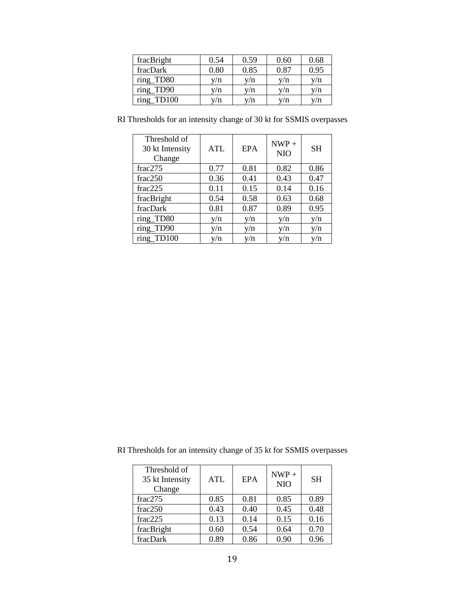| fracBright               | 0.54 | 0.59 | 0.60 | 0.68 |
|--------------------------|------|------|------|------|
| fracDark                 | 0.80 | 0.85 | 0.87 | 0.95 |
| ring_TD80                | v/n  | y/n  | y/n  | v/n  |
| ring<br>TD <sub>90</sub> | y/n  | y/n  | v/n  | y/n  |
| ring<br>TD100            | v/n  | v/n  | v/n  | 7/n  |

| RI Thresholds for an intensity change of 30 kt for SSMIS overpasses |  |  |
|---------------------------------------------------------------------|--|--|
|                                                                     |  |  |

| Threshold of<br>30 kt Intensity<br>Change | ATL  | <b>EPA</b> | $NWP +$<br><b>NIO</b> | <b>SH</b> |
|-------------------------------------------|------|------------|-----------------------|-----------|
| frac275                                   | 0.77 | 0.81       | 0.82                  | 0.86      |
| frac250                                   | 0.36 | 0.41       | 0.43                  | 0.47      |
| frac225                                   | 0.11 | 0.15       | 0.14                  | 0.16      |
| fracBright                                | 0.54 | 0.58       | 0.63                  | 0.68      |
| fracDark                                  | 0.81 | 0.87       | 0.89                  | 0.95      |
| ring_TD80                                 | v/n  | y/n        | y/n                   | y/n       |
| ring_TD90                                 | y/n  | y/n        | y/n                   | y/n       |
| ring TD100                                | v/n  | v/n        | v/n                   | y/n       |

RI Thresholds for an intensity change of 35 kt for SSMIS overpasses

| Threshold of<br>35 kt Intensity<br>Change | <b>ATL</b> | <b>EPA</b> | $NWP +$<br><b>NIO</b> | <b>SH</b> |
|-------------------------------------------|------------|------------|-----------------------|-----------|
| frac275                                   | 0.85       | 0.81       | 0.85                  | 0.89      |
| frac250                                   | 0.43       | 0.40       | 0.45                  | 0.48      |
| frac225                                   | 0.13       | 0.14       | 0.15                  | 0.16      |
| fracBright                                | 0.60       | 0.54       | 0.64                  | 0.70      |
| fracDark                                  | 0.89       | 0.86       | 0.90                  | 0.96      |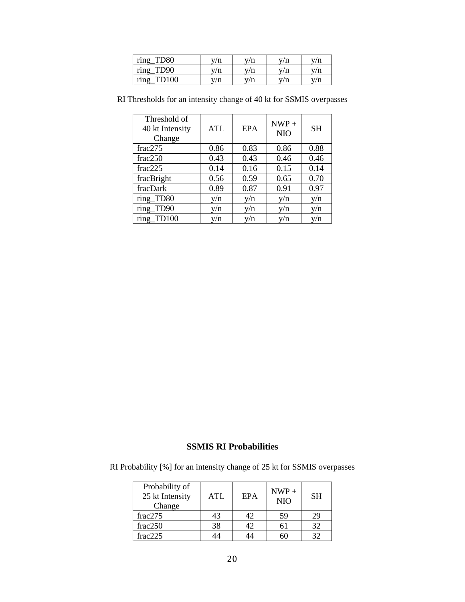| ring<br><b>TD80</b>  | v/n | v/n | v/n | /n |
|----------------------|-----|-----|-----|----|
| ring<br>TD90         | v/n | v/n | v/n |    |
| ring<br><b>TD100</b> | v/n | v/n | 'n  |    |

| Threshold of<br>40 kt Intensity<br>Change | <b>ATL</b> | <b>EPA</b> | $NWP +$<br><b>NIO</b> | <b>SH</b> |
|-------------------------------------------|------------|------------|-----------------------|-----------|
| frac275                                   | 0.86       | 0.83       | 0.86                  | 0.88      |
| frac250                                   | 0.43       | 0.43       | 0.46                  | 0.46      |
| frac225                                   | 0.14       | 0.16       | 0.15                  | 0.14      |
| fracBright                                | 0.56       | 0.59       | 0.65                  | 0.70      |
| fracDark                                  | 0.89       | 0.87       | 0.91                  | 0.97      |
| ring TD80                                 | v/n        | v/n        | y/n                   | y/n       |
| ring_TD90                                 | y/n        | y/n        | y/n                   | y/n       |
| ring TD100                                | v/n        | y/n        | v/n                   | y/n       |

RI Thresholds for an intensity change of 40 kt for SSMIS overpasses

# **SSMIS RI Probabilities**

RI Probability [%] for an intensity change of 25 kt for SSMIS overpasses

| Probability of<br>25 kt Intensity<br>Change | <b>ATL</b> | EPA | $NWP +$<br><b>NIO</b> | <b>SH</b> |
|---------------------------------------------|------------|-----|-----------------------|-----------|
| frac275                                     | 43         | 42  | 59                    | 29        |
| frac250                                     | 38         | 42  |                       | 32        |
| frac225                                     |            |     |                       | 32        |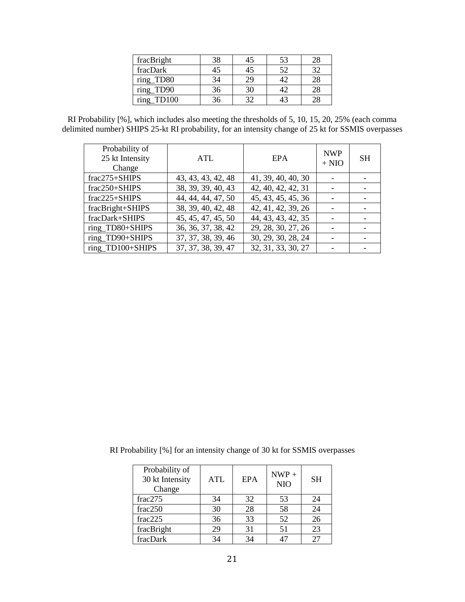| fracBright    | 38 | 45 | 53 |    |
|---------------|----|----|----|----|
| fracDark      |    | 45 | 52 | 21 |
| ring_TD80     | 34 | 29 |    |    |
| ring_TD90     | 36 | 30 |    |    |
| ring<br>TD100 | :6 | 20 |    |    |

RI Probability [%], which includes also meeting the thresholds of 5, 10, 15, 20, 25% (each comma delimited number) SHIPS 25-kt RI probability, for an intensity change of 25 kt for SSMIS overpasses

| Probability of<br>25 kt Intensity<br>Change | ATL                | <b>EPA</b>         | <b>NWP</b><br>$+$ NIO | <b>SH</b> |
|---------------------------------------------|--------------------|--------------------|-----------------------|-----------|
| frac275+SHIPS                               | 43, 43, 43, 42, 48 | 41, 39, 40, 40, 30 |                       |           |
| $frac250+SHIPS$                             | 38, 39, 39, 40, 43 | 42, 40, 42, 42, 31 |                       |           |
| $frac225+SHIPS$                             | 44, 44, 44, 47, 50 | 45, 43, 45, 45, 36 |                       |           |
| fracBright+SHIPS                            | 38, 39, 40, 42, 48 | 42, 41, 42, 39, 26 |                       |           |
| fracDark+SHIPS                              | 45, 45, 47, 45, 50 | 44, 43, 43, 42, 35 |                       |           |
| ring_TD80+SHIPS                             | 36, 36, 37, 38, 42 | 29, 28, 30, 27, 26 |                       |           |
| ring_TD90+SHIPS                             | 37, 37, 38, 39, 46 | 30, 29, 30, 28, 24 |                       |           |
| ring_TD100+SHIPS                            | 37, 37, 38, 39, 47 | 32, 31, 33, 30, 27 |                       |           |

RI Probability [%] for an intensity change of 30 kt for SSMIS overpasses

| Probability of<br>30 kt Intensity<br>Change | <b>ATL</b> | EPA | $NWP +$<br><b>NIO</b> | <b>SH</b> |
|---------------------------------------------|------------|-----|-----------------------|-----------|
| frac275                                     | 34         | 32  | 53                    | 24        |
| frac250                                     | 30         | 28  | 58                    | 24        |
| frac225                                     | 36         | 33  | 52                    | 26        |
| fracBright                                  | 29         | 31  | 51                    | 23        |
| fracDark                                    | 34         | 34  |                       | 27        |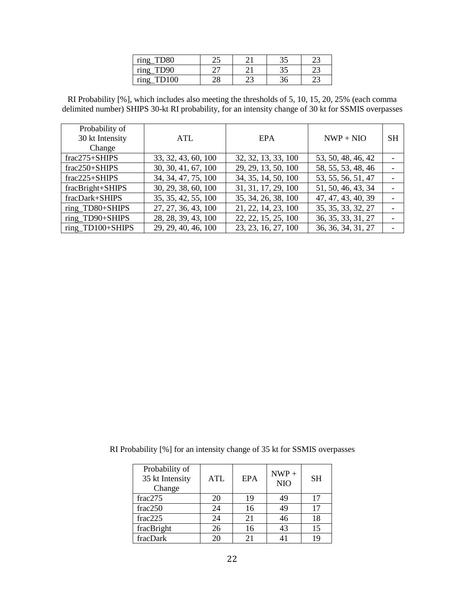| $\cdots$  |   |     | $\sim$ $\sim$<br>ັ | ⌒ |
|-----------|---|-----|--------------------|---|
| $\bullet$ |   |     | <u>ລ ຕ</u><br>ັ    |   |
|           | ۵ | ر _ |                    |   |

RI Probability [%], which includes also meeting the thresholds of 5, 10, 15, 20, 25% (each comma delimited number) SHIPS 30-kt RI probability, for an intensity change of 30 kt for SSMIS overpasses

| Probability of   |                     |                     |                    |           |
|------------------|---------------------|---------------------|--------------------|-----------|
| 30 kt Intensity  | ATL                 | <b>EPA</b>          | $NWP + NIO$        | <b>SH</b> |
| Change           |                     |                     |                    |           |
| $frac275+SHIPS$  | 33, 32, 43, 60, 100 | 32, 32, 13, 33, 100 | 53, 50, 48, 46, 42 |           |
| $frac250+SHIPS$  | 30, 30, 41, 67, 100 | 29, 29, 13, 50, 100 | 58, 55, 53, 48, 46 |           |
| $frac225+SHIPS$  | 34, 34, 47, 75, 100 | 34, 35, 14, 50, 100 | 53, 55, 56, 51, 47 |           |
| fracBright+SHIPS | 30, 29, 38, 60, 100 | 31, 31, 17, 29, 100 | 51, 50, 46, 43, 34 |           |
| fracDark+SHIPS   | 35, 35, 42, 55, 100 | 35, 34, 26, 38, 100 | 47, 47, 43, 40, 39 |           |
| ring_TD80+SHIPS  | 27, 27, 36, 43, 100 | 21, 22, 14, 23, 100 | 35, 35, 33, 32, 27 |           |
| ring TD90+SHIPS  | 28, 28, 39, 43, 100 | 22, 22, 15, 25, 100 | 36, 35, 33, 31, 27 |           |
| ring_TD100+SHIPS | 29, 29, 40, 46, 100 | 23, 23, 16, 27, 100 | 36, 36, 34, 31, 27 |           |

RI Probability [%] for an intensity change of 35 kt for SSMIS overpasses

| Probability of<br>35 kt Intensity<br>Change | <b>ATL</b> | EPA | $NWP +$<br><b>NIO</b> | <b>SH</b> |
|---------------------------------------------|------------|-----|-----------------------|-----------|
| frac275                                     | 20         | 19  | 49                    | 17        |
| frac250                                     | 24         | 16  | 49                    | 17        |
| frac2225                                    | 24         | 21  | 46                    | 18        |
| fracBright                                  | 26         | 16  | 43                    | 15        |
| fracDark                                    | 20         | 21  |                       | 19        |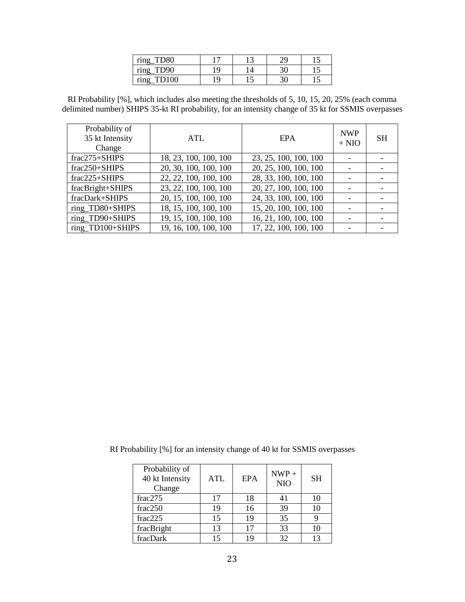| <b>TD80</b><br>ring      |    | ۰              | ററ<br>↩. |  |
|--------------------------|----|----------------|----------|--|
| TD <sub>90</sub><br>ring | ۱۹ | $\overline{a}$ | っこ       |  |
| <b>PD100</b><br>ring     | ۱۹ |                |          |  |

RI Probability [%], which includes also meeting the thresholds of 5, 10, 15, 20, 25% (each comma delimited number) SHIPS 35-kt RI probability, for an intensity change of 35 kt for SSMIS overpasses

| Probability of<br>35 kt Intensity<br>Change | ATL                   | EPA                   | <b>NWP</b><br>$+ NIO$ | <b>SH</b> |
|---------------------------------------------|-----------------------|-----------------------|-----------------------|-----------|
| $frac275+SHIPS$                             | 18, 23, 100, 100, 100 | 23, 25, 100, 100, 100 |                       |           |
| frac250+SHIPS                               | 20, 30, 100, 100, 100 | 20, 25, 100, 100, 100 |                       |           |
| $frac225+SHIPS$                             | 22, 22, 100, 100, 100 | 28, 33, 100, 100, 100 |                       |           |
| fracBright+SHIPS                            | 23, 22, 100, 100, 100 | 20, 27, 100, 100, 100 |                       |           |
| fracDark+SHIPS                              | 20, 15, 100, 100, 100 | 24, 33, 100, 100, 100 |                       |           |
| ring_TD80+SHIPS                             | 18, 15, 100, 100, 100 | 15, 20, 100, 100, 100 |                       |           |
| ring_TD90+SHIPS                             | 19, 15, 100, 100, 100 | 16, 21, 100, 100, 100 |                       |           |
| ring_TD100+SHIPS                            | 19, 16, 100, 100, 100 | 17, 22, 100, 100, 100 |                       |           |

| RI Probability [%] for an intensity change of 40 kt for SSMIS overpasses |  |  |  |  |  |  |  |
|--------------------------------------------------------------------------|--|--|--|--|--|--|--|
|--------------------------------------------------------------------------|--|--|--|--|--|--|--|

| Probability of<br>40 kt Intensity<br>Change | <b>ATL</b> | EPA | $NWP +$<br><b>NIO</b> | <b>SH</b> |
|---------------------------------------------|------------|-----|-----------------------|-----------|
| frac275                                     | 17         | 18  | 41                    | 10        |
| frac250                                     | 19         | 16  | 39                    | 10        |
| frac225                                     | 15         | 19  | 35                    |           |
| fracBright                                  | 13         | 17  | 33                    | 10        |
| fracDark                                    | 15         | 19  | 32                    | 13        |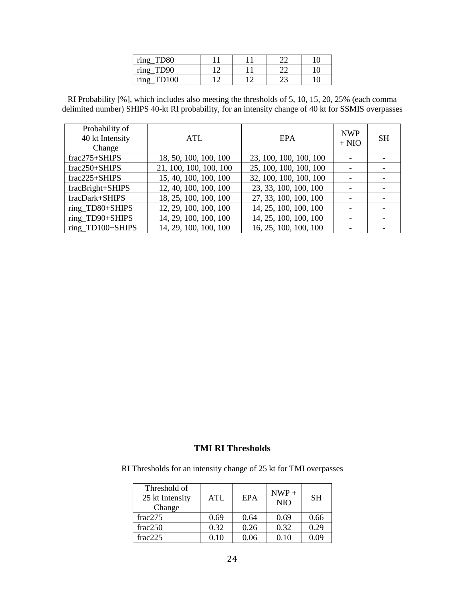| <b>TD80</b><br>ring      |      | n n |  |
|--------------------------|------|-----|--|
| TD <sub>90</sub><br>ring |      | n n |  |
| <b>TD100</b><br>ring     | 1. ^ | ∠~  |  |

RI Probability [%], which includes also meeting the thresholds of 5, 10, 15, 20, 25% (each comma delimited number) SHIPS 40-kt RI probability, for an intensity change of 40 kt for SSMIS overpasses

| Probability of<br>40 kt Intensity<br>Change | ATL                    | <b>EPA</b>             | <b>NWP</b><br>$+$ NIO    | <b>SH</b> |
|---------------------------------------------|------------------------|------------------------|--------------------------|-----------|
| $frac275+SHIPS$                             | 18, 50, 100, 100, 100  | 23, 100, 100, 100, 100 |                          |           |
| frac250+SHIPS                               | 21, 100, 100, 100, 100 | 25, 100, 100, 100, 100 |                          |           |
| $frac225+SHIPS$                             | 15, 40, 100, 100, 100  | 32, 100, 100, 100, 100 |                          |           |
| fracBright+SHIPS                            | 12, 40, 100, 100, 100  | 23, 33, 100, 100, 100  |                          |           |
| fracDark+SHIPS                              | 18, 25, 100, 100, 100  | 27, 33, 100, 100, 100  | $\overline{\phantom{a}}$ |           |
| ring_TD80+SHIPS                             | 12, 29, 100, 100, 100  | 14, 25, 100, 100, 100  |                          |           |
| ring_TD90+SHIPS                             | 14, 29, 100, 100, 100  | 14, 25, 100, 100, 100  |                          |           |
| ring_TD100+SHIPS                            | 14, 29, 100, 100, 100  | 16, 25, 100, 100, 100  |                          |           |

## **TMI RI Thresholds**

RI Thresholds for an intensity change of 25 kt for TMI overpasses

| Threshold of<br>25 kt Intensity<br>Change | <b>ATL</b> | <b>EPA</b> | $NWP +$<br><b>NIO</b> | <b>SH</b> |
|-------------------------------------------|------------|------------|-----------------------|-----------|
| frac275                                   | 0.69       | 0.64       | 0.69                  | 0.66      |
| frac250                                   | 0.32       | 0.26       | 0.32                  | 0.29      |
| frac225                                   | 0 10       | 0.06       | 0.10                  | ን 0ዓ      |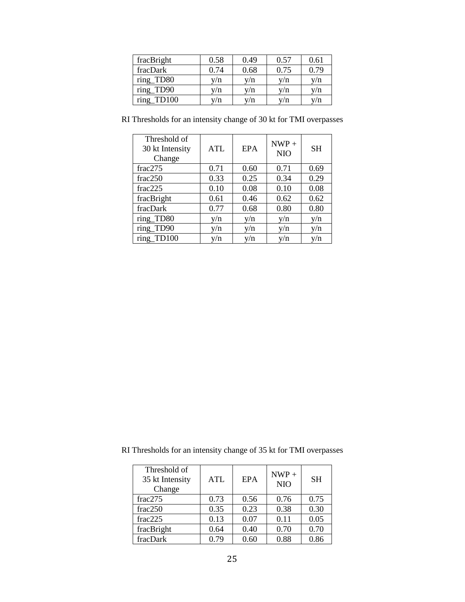| fracBright           | 0.58 | 0.49 | 0.57 | 0.61 |
|----------------------|------|------|------|------|
| fracDark             | 0.74 | 0.68 | 0.75 | 0.79 |
| ring_TD80            | v/n  | v/n  | v/n  | v/n  |
| ring_TD90            | y/n  | y/n  | y/n  | y/n  |
| ring<br><b>TD100</b> | v/n  | v/n  | v/n  | v/n  |

| Threshold of<br>30 kt Intensity<br>Change | <b>ATL</b> | <b>EPA</b> | $NWP +$<br><b>NIO</b> | <b>SH</b> |
|-------------------------------------------|------------|------------|-----------------------|-----------|
| frac275                                   | 0.71       | 0.60       | 0.71                  | 0.69      |
| frac250                                   | 0.33       | 0.25       | 0.34                  | 0.29      |
| frac225                                   | 0.10       | 0.08       | 0.10                  | 0.08      |
| fracBright                                | 0.61       | 0.46       | 0.62                  | 0.62      |
| fracDark                                  | 0.77       | 0.68       | 0.80                  | 0.80      |
| ring TD80                                 | y/n        | v/n        | y/n                   | v/n       |
| ring_TD90                                 | y/n        | y/n        | y/n                   | y/n       |
| ring TD100                                | v/n        | y/n        | v/n                   | v/n       |

RI Thresholds for an intensity change of 30 kt for TMI overpasses

| Threshold of<br>35 kt Intensity<br>Change | ATL  | <b>EPA</b> | $NWP +$<br><b>NIO</b> | <b>SH</b> |
|-------------------------------------------|------|------------|-----------------------|-----------|
| frac275                                   | 0.73 | 0.56       | 0.76                  | 0.75      |
| frac250                                   | 0.35 | 0.23       | 0.38                  | 0.30      |
| frac225                                   | 0.13 | 0.07       | 0.11                  | 0.05      |
| fracBright                                | 0.64 | 0.40       | 0.70                  | 0.70      |
| fracDark                                  | 0.79 | 0.60       | 0.88                  | 0.86      |

RI Thresholds for an intensity change of 35 kt for TMI overpasses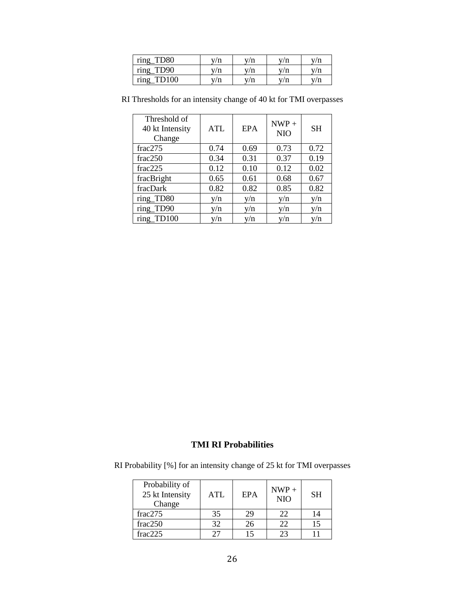| ring<br><b>TD80</b>  | v/n | v/n | $^{\prime}$ m<br>п | v/n        |
|----------------------|-----|-----|--------------------|------------|
| ring<br><b>TD90</b>  | v/n | v/n | 7/10<br>п          | $\sqrt{n}$ |
| ring<br><b>TD100</b> | v/n | v/n | $\sqrt{n}$         | $\sqrt{n}$ |

| Threshold of<br>40 kt Intensity<br>Change | <b>ATL</b> | <b>EPA</b> | $NWP +$<br><b>NIO</b> | <b>SH</b> |
|-------------------------------------------|------------|------------|-----------------------|-----------|
| frac275                                   | 0.74       | 0.69       | 0.73                  | 0.72      |
| frac250                                   | 0.34       | 0.31       | 0.37                  | 0.19      |
| frac225                                   | 0.12       | 0.10       | 0.12                  | 0.02      |
| fracBright                                | 0.65       | 0.61       | 0.68                  | 0.67      |
| fracDark                                  | 0.82       | 0.82       | 0.85                  | 0.82      |
| ring TD80                                 | y/n        | v/n        | y/n                   | v/n       |
| ring_TD90                                 | v/n        | y/n        | y/n                   | y/n       |
| ring TD100                                | y/n        | y/n        | v/n                   | v/n       |

RI Thresholds for an intensity change of 40 kt for TMI overpasses

# **TMI RI Probabilities**

RI Probability [%] for an intensity change of 25 kt for TMI overpasses

| Probability of<br>25 kt Intensity<br>Change | ATL | EPA | $NWP +$<br><b>NIO</b> | <b>SH</b> |
|---------------------------------------------|-----|-----|-----------------------|-----------|
| frac275                                     | 35  | 29  | 22                    | 14        |
| frac250                                     | 32  | 26  | つつ                    | 15        |
| frac225                                     | 27  | 15  | つっ                    |           |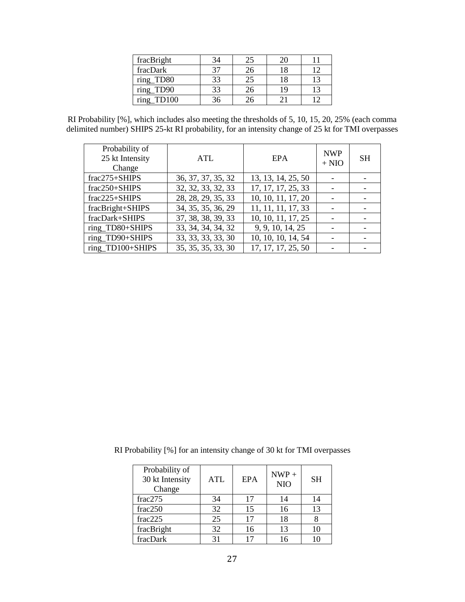| fracBright    |    | 25 |    |  |
|---------------|----|----|----|--|
| fracDark      |    |    |    |  |
| ring_TD80     | 33 | 25 | 18 |  |
| ring_TD90     | 33 | 26 |    |  |
| ring<br>TD100 | 'n |    |    |  |

RI Probability [%], which includes also meeting the thresholds of 5, 10, 15, 20, 25% (each comma delimited number) SHIPS 25-kt RI probability, for an intensity change of 25 kt for TMI overpasses

| Probability of<br>25 kt Intensity<br>Change | ATL                             | <b>EPA</b>         | <b>NWP</b><br>$+$ NIO | <b>SH</b> |
|---------------------------------------------|---------------------------------|--------------------|-----------------------|-----------|
| frac275+SHIPS                               | 36, 37, 37, 35, 32              | 13, 13, 14, 25, 50 |                       |           |
| frac250+SHIPS                               | $32, 32, 33, 32, \overline{33}$ | 17, 17, 17, 25, 33 |                       |           |
| frac225+SHIPS                               | 28, 28, 29, 35, 33              | 10, 10, 11, 17, 20 |                       |           |
| fracBright+SHIPS                            | 34, 35, 35, 36, 29              | 11, 11, 11, 17, 33 |                       |           |
| fracDark+SHIPS                              | 37, 38, 38, 39, 33              | 10, 10, 11, 17, 25 |                       |           |
| ring_TD80+SHIPS                             | 33, 34, 34, 34, 32              | 9, 9, 10, 14, 25   |                       |           |
| ring_TD90+SHIPS                             | 33, 33, 33, 33, 30              | 10, 10, 10, 14, 54 |                       |           |
| ring_TD100+SHIPS                            | 35, 35, 35, 33, 30              | 17, 17, 17, 25, 50 |                       |           |

RI Probability [%] for an intensity change of 30 kt for TMI overpasses

| Probability of<br>30 kt Intensity<br>Change | <b>ATL</b> | EPA | $NWP +$<br><b>NIO</b> | <b>SH</b> |
|---------------------------------------------|------------|-----|-----------------------|-----------|
| frac275                                     | 34         | 17  | 14                    | 14        |
| frac250                                     | 32         | 15  | 16                    | 13        |
| frac2225                                    | 25         | 17  | 18                    |           |
| fracBright                                  | 32         | 16  | 13                    | 10        |
| fracDark                                    | 31         |     | 16                    |           |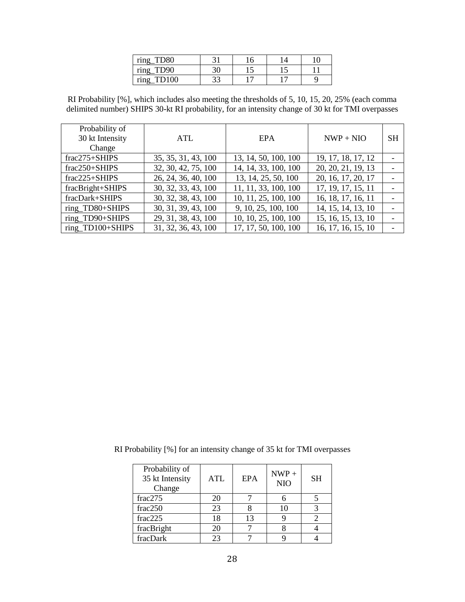| <b>TD80</b><br>ring      |     | 10  |  |
|--------------------------|-----|-----|--|
| TD <sub>90</sub><br>ring | IJΨ |     |  |
| ring                     | ΩΩ  | $-$ |  |

RI Probability [%], which includes also meeting the thresholds of 5, 10, 15, 20, 25% (each comma delimited number) SHIPS 30-kt RI probability, for an intensity change of 30 kt for TMI overpasses

| Probability of     |                     |                      |                    |           |
|--------------------|---------------------|----------------------|--------------------|-----------|
| 30 kt Intensity    | ATL                 | <b>EPA</b>           | $NWP + NIO$        | <b>SH</b> |
| Change             |                     |                      |                    |           |
| $frac275+SHIPS$    | 35, 35, 31, 43, 100 | 13, 14, 50, 100, 100 | 19, 17, 18, 17, 12 |           |
| $frac250+SHIPS$    | 32, 30, 42, 75, 100 | 14, 14, 33, 100, 100 | 20, 20, 21, 19, 13 |           |
| $frac2225 + SHIPS$ | 26, 24, 36, 40, 100 | 13, 14, 25, 50, 100  | 20, 16, 17, 20, 17 |           |
| fracBright+SHIPS   | 30, 32, 33, 43, 100 | 11, 11, 33, 100, 100 | 17, 19, 17, 15, 11 |           |
| fracDark+SHIPS     | 30, 32, 38, 43, 100 | 10, 11, 25, 100, 100 | 16, 18, 17, 16, 11 |           |
| ring_TD80+SHIPS    | 30, 31, 39, 43, 100 | 9, 10, 25, 100, 100  | 14, 15, 14, 13, 10 |           |
| ring TD90+SHIPS    | 29, 31, 38, 43, 100 | 10, 10, 25, 100, 100 | 15, 16, 15, 13, 10 |           |
| ring_TD100+SHIPS   | 31, 32, 36, 43, 100 | 17, 17, 50, 100, 100 | 16, 17, 16, 15, 10 |           |

|  |  |  | RI Probability [%] for an intensity change of 35 kt for TMI overpasses |
|--|--|--|------------------------------------------------------------------------|
|--|--|--|------------------------------------------------------------------------|

| Probability of<br>35 kt Intensity<br>Change | <b>ATL</b> | EPA | $NWP +$<br><b>NIO</b> | <b>SH</b> |
|---------------------------------------------|------------|-----|-----------------------|-----------|
| frac275                                     | 20         |     |                       |           |
| frac250                                     | 23         |     |                       |           |
| frac225                                     | 18         | 13  |                       |           |
| fracBright                                  | 20         |     |                       |           |
| fracDark                                    | つく         |     |                       |           |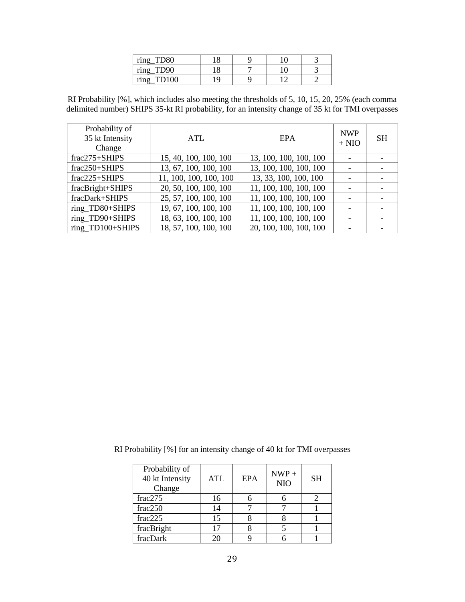| <b>TD80</b><br>$\bullet$<br>ring |   |  |  |
|----------------------------------|---|--|--|
| TD <sub>90</sub><br>ring         | о |  |  |
| $T^{100}$<br>ring                |   |  |  |

RI Probability [%], which includes also meeting the thresholds of 5, 10, 15, 20, 25% (each comma delimited number) SHIPS 35-kt RI probability, for an intensity change of 35 kt for TMI overpasses

| Probability of<br>35 kt Intensity<br>Change | ATL                    | <b>EPA</b>             | <b>NWP</b><br>$+ NIO$ | <b>SH</b> |
|---------------------------------------------|------------------------|------------------------|-----------------------|-----------|
| $frac275+SHIPS$                             | 15, 40, 100, 100, 100  | 13, 100, 100, 100, 100 |                       |           |
| frac250+SHIPS                               | 13, 67, 100, 100, 100  | 13, 100, 100, 100, 100 |                       |           |
| $frac225+SHIPS$                             | 11, 100, 100, 100, 100 | 13, 33, 100, 100, 100  |                       |           |
| fracBright+SHIPS                            | 20, 50, 100, 100, 100  | 11, 100, 100, 100, 100 |                       |           |
| fracDark+SHIPS                              | 25, 57, 100, 100, 100  | 11, 100, 100, 100, 100 |                       |           |
| ring_TD80+SHIPS                             | 19, 67, 100, 100, 100  | 11, 100, 100, 100, 100 |                       |           |
| ring_TD90+SHIPS                             | 18, 63, 100, 100, 100  | 11, 100, 100, 100, 100 |                       |           |
| ring_TD100+SHIPS                            | 18, 57, 100, 100, 100  | 20, 100, 100, 100, 100 |                       |           |

|  |  | RI Probability [%] for an intensity change of 40 kt for TMI overpasses |  |
|--|--|------------------------------------------------------------------------|--|
|--|--|------------------------------------------------------------------------|--|

| Probability of<br>40 kt Intensity<br>Change | <b>ATL</b> | EPA | $NWP +$<br><b>NIO</b> | <b>SH</b> |
|---------------------------------------------|------------|-----|-----------------------|-----------|
| frac275                                     | 16         |     |                       |           |
| frac250                                     | 14         |     |                       |           |
| frac225                                     | 15         |     |                       |           |
| fracBright                                  | 17         |     |                       |           |
| fracDark                                    | つハ         |     |                       |           |